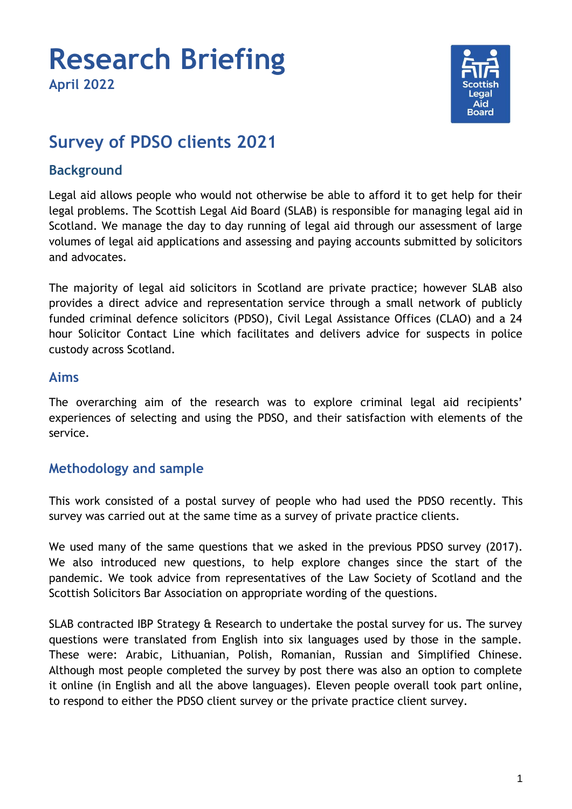

# **Survey of PDSO clients 2021**

# **Background**

Legal aid allows people who would not otherwise be able to afford it to get help for their legal problems. The Scottish Legal Aid Board (SLAB) is responsible for managing legal aid in Scotland. We manage the day to day running of legal aid through our assessment of large volumes of legal aid applications and assessing and paying accounts submitted by solicitors and advocates.

The majority of legal aid solicitors in Scotland are private practice; however SLAB also provides a direct advice and representation service through a small network of publicly funded criminal defence solicitors (PDSO), Civil Legal Assistance Offices (CLAO) and a 24 hour Solicitor Contact Line which facilitates and delivers advice for suspects in police custody across Scotland.

## **Aims**

The overarching aim of the research was to explore criminal legal aid recipients' experiences of selecting and using the PDSO, and their satisfaction with elements of the service.

# **Methodology and sample**

This work consisted of a postal survey of people who had used the PDSO recently. This survey was carried out at the same time as a survey of private practice clients.

We used many of the same questions that we asked in the previous PDSO survey (2017). We also introduced new questions, to help explore changes since the start of the pandemic. We took advice from representatives of the Law Society of Scotland and the Scottish Solicitors Bar Association on appropriate wording of the questions.

SLAB contracted IBP Strategy & Research to undertake the postal survey for us. The survey questions were translated from English into six languages used by those in the sample. These were: Arabic, Lithuanian, Polish, Romanian, Russian and Simplified Chinese. Although most people completed the survey by post there was also an option to complete it online (in English and all the above languages). Eleven people overall took part online, to respond to either the PDSO client survey or the private practice client survey.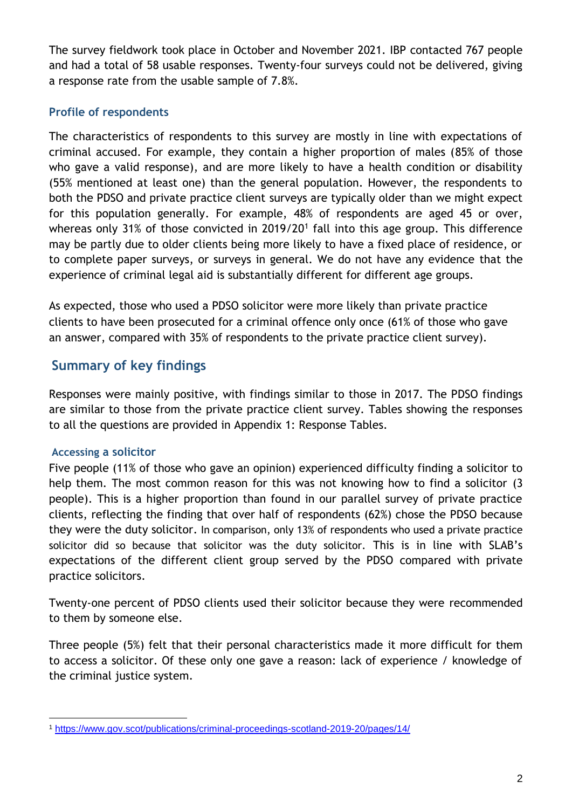The survey fieldwork took place in October and November 2021. IBP contacted 767 people and had a total of 58 usable responses. Twenty-four surveys could not be delivered, giving a response rate from the usable sample of 7.8%.

### **Profile of respondents**

The characteristics of respondents to this survey are mostly in line with expectations of criminal accused. For example, they contain a higher proportion of males (85% of those who gave a valid response), and are more likely to have a health condition or disability (55% mentioned at least one) than the general population. However, the respondents to both the PDSO and private practice client surveys are typically older than we might expect for this population generally. For example, 48% of respondents are aged 45 or over, whereas only 31% of those convicted in 2019/20<sup>1</sup> fall into this age group. This difference may be partly due to older clients being more likely to have a fixed place of residence, or to complete paper surveys, or surveys in general. We do not have any evidence that the experience of criminal legal aid is substantially different for different age groups.

As expected, those who used a PDSO solicitor were more likely than private practice clients to have been prosecuted for a criminal offence only once (61% of those who gave an answer, compared with 35% of respondents to the private practice client survey).

# **Summary of key findings**

Responses were mainly positive, with findings similar to those in 2017. The PDSO findings are similar to those from the private practice client survey. Tables showing the responses to all the questions are provided in Appendix 1: Response Tables.

### **Accessing a solicitor**

Five people (11% of those who gave an opinion) experienced difficulty finding a solicitor to help them. The most common reason for this was not knowing how to find a solicitor (3 people). This is a higher proportion than found in our parallel survey of private practice clients, reflecting the finding that over half of respondents (62%) chose the PDSO because they were the duty solicitor. In comparison, only 13% of respondents who used a private practice solicitor did so because that solicitor was the duty solicitor. This is in line with SLAB's expectations of the different client group served by the PDSO compared with private practice solicitors.

Twenty-one percent of PDSO clients used their solicitor because they were recommended to them by someone else.

Three people (5%) felt that their personal characteristics made it more difficult for them to access a solicitor. Of these only one gave a reason: lack of experience / knowledge of the criminal justice system.

<sup>-</sup><sup>1</sup> <https://www.gov.scot/publications/criminal-proceedings-scotland-2019-20/pages/14/>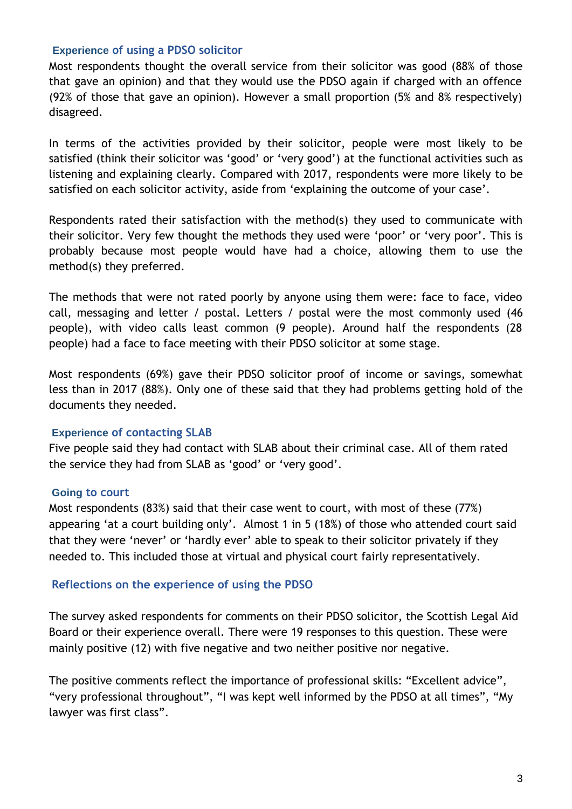#### **Experience of using a PDSO solicitor**

Most respondents thought the overall service from their solicitor was good (88% of those that gave an opinion) and that they would use the PDSO again if charged with an offence (92% of those that gave an opinion). However a small proportion (5% and 8% respectively) disagreed.

In terms of the activities provided by their solicitor, people were most likely to be satisfied (think their solicitor was 'good' or 'very good') at the functional activities such as listening and explaining clearly. Compared with 2017, respondents were more likely to be satisfied on each solicitor activity, aside from 'explaining the outcome of your case'.

Respondents rated their satisfaction with the method(s) they used to communicate with their solicitor. Very few thought the methods they used were 'poor' or 'very poor'. This is probably because most people would have had a choice, allowing them to use the method(s) they preferred.

The methods that were not rated poorly by anyone using them were: face to face, video call, messaging and letter / postal. Letters / postal were the most commonly used (46 people), with video calls least common (9 people). Around half the respondents (28 people) had a face to face meeting with their PDSO solicitor at some stage.

Most respondents (69%) gave their PDSO solicitor proof of income or savings, somewhat less than in 2017 (88%). Only one of these said that they had problems getting hold of the documents they needed.

### **Experience of contacting SLAB**

Five people said they had contact with SLAB about their criminal case. All of them rated the service they had from SLAB as 'good' or 'very good'.

#### **Going to court**

Most respondents (83%) said that their case went to court, with most of these (77%) appearing 'at a court building only'. Almost 1 in 5 (18%) of those who attended court said that they were 'never' or 'hardly ever' able to speak to their solicitor privately if they needed to. This included those at virtual and physical court fairly representatively.

### **Reflections on the experience of using the PDSO**

The survey asked respondents for comments on their PDSO solicitor, the Scottish Legal Aid Board or their experience overall. There were 19 responses to this question. These were mainly positive (12) with five negative and two neither positive nor negative.

The positive comments reflect the importance of professional skills: "Excellent advice", "very professional throughout", "I was kept well informed by the PDSO at all times", "My lawyer was first class".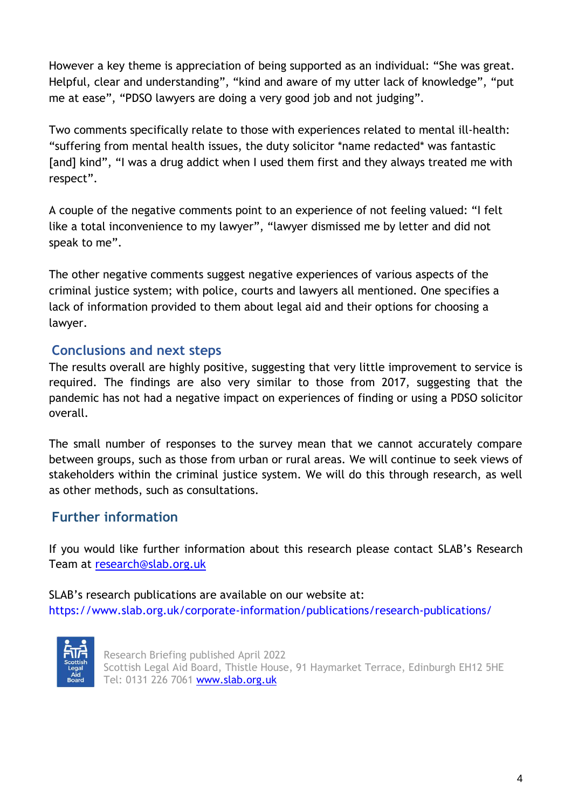However a key theme is appreciation of being supported as an individual: "She was great. Helpful, clear and understanding", "kind and aware of my utter lack of knowledge", "put me at ease", "PDSO lawyers are doing a very good job and not judging".

Two comments specifically relate to those with experiences related to mental ill-health: "suffering from mental health issues, the duty solicitor \*name redacted\* was fantastic [and] kind", "I was a drug addict when I used them first and they always treated me with respect".

A couple of the negative comments point to an experience of not feeling valued: "I felt like a total inconvenience to my lawyer", "lawyer dismissed me by letter and did not speak to me".

The other negative comments suggest negative experiences of various aspects of the criminal justice system; with police, courts and lawyers all mentioned. One specifies a lack of information provided to them about legal aid and their options for choosing a lawyer.

# **Conclusions and next steps**

The results overall are highly positive, suggesting that very little improvement to service is required. The findings are also very similar to those from 2017, suggesting that the pandemic has not had a negative impact on experiences of finding or using a PDSO solicitor overall.

The small number of responses to the survey mean that we cannot accurately compare between groups, such as those from urban or rural areas. We will continue to seek views of stakeholders within the criminal justice system. We will do this through research, as well as other methods, such as consultations.

# **Further information**

If you would like further information about this research please contact SLAB's Research Team at [research@slab.org.uk](mailto:research@slab.org.uk)

SLAB's research publications are available on our website at: https://www.slab.org.uk/corporate-information/publications/research-publications/



Research Briefing published April 2022 Scottish Legal Aid Board, Thistle House, 91 Haymarket Terrace, Edinburgh EH12 5HE Tel: 0131 226 7061 [www.slab.org.uk](http://www.slab.org.uk/)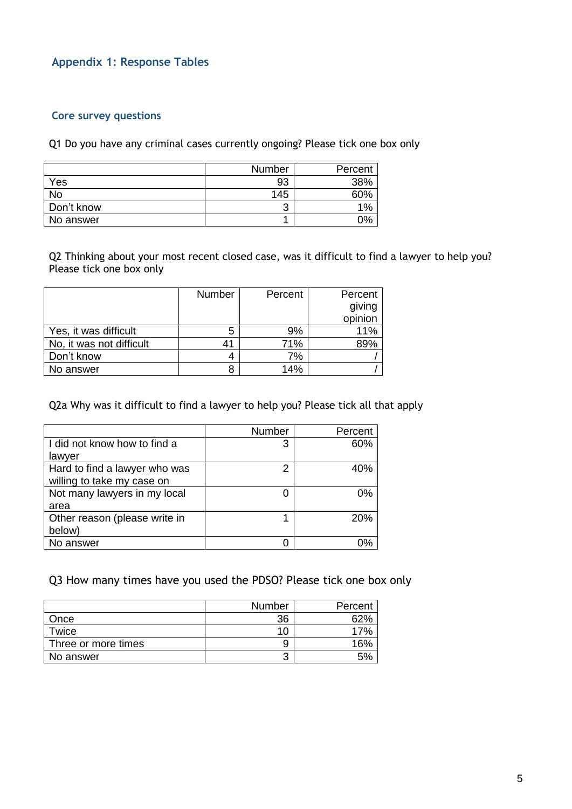### **Appendix 1: Response Tables**

#### **Core survey questions**

Q1 Do you have any criminal cases currently ongoing? Please tick one box only

|            | Number | Percent |
|------------|--------|---------|
| Yes        | 93     | 38%     |
| No         | 145    | ናበ%     |
| Don't know | ◠<br>J | 1%      |
| No answer  |        | ገዓ      |

Q2 Thinking about your most recent closed case, was it difficult to find a lawyer to help you? Please tick one box only

|                          | <b>Number</b> | Percent | Percent |
|--------------------------|---------------|---------|---------|
|                          |               |         | giving  |
|                          |               |         | opinion |
| Yes, it was difficult    | 5             | 9%      | 11%     |
| No, it was not difficult | $4^{\circ}$   | 71%     | 89%     |
| Don't know               |               | 7%      |         |
| No answer                |               | 14%     |         |

Q2a Why was it difficult to find a lawyer to help you? Please tick all that apply

|                               | Number | Percent |
|-------------------------------|--------|---------|
| I did not know how to find a  | 3      | 60%     |
| lawyer                        |        |         |
| Hard to find a lawyer who was | 2      | 40%     |
| willing to take my case on    |        |         |
| Not many lawyers in my local  |        | 0%      |
| area                          |        |         |
| Other reason (please write in |        | 20%     |
| below)                        |        |         |
| No answer                     |        |         |

Q3 How many times have you used the PDSO? Please tick one box only

|                     | Number | Percent |
|---------------------|--------|---------|
| Once                | 36     | 52%     |
| Twice               | 10     |         |
| Three or more times | 9      |         |
| No answer           | ◠<br>ັ |         |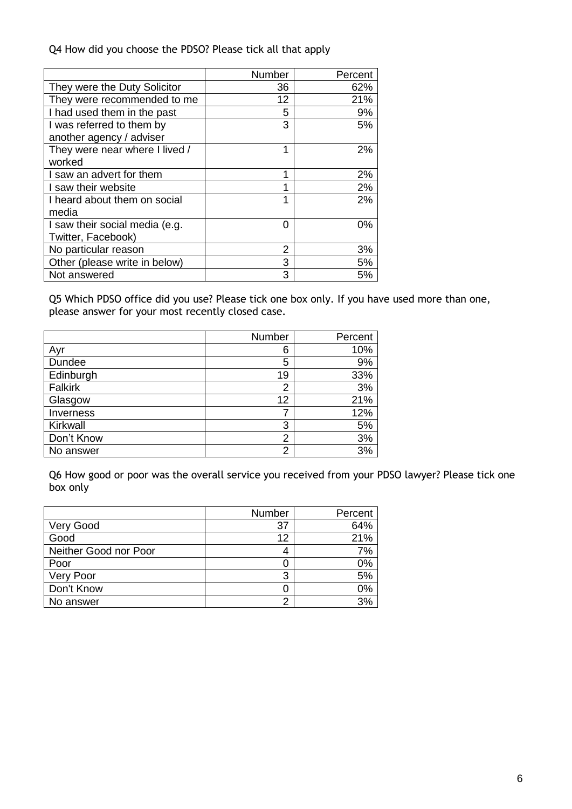Q4 How did you choose the PDSO? Please tick all that apply

|                                | Number | Percent |
|--------------------------------|--------|---------|
| They were the Duty Solicitor   | 36     | 62%     |
| They were recommended to me    | 12     | 21%     |
| I had used them in the past    | 5      | 9%      |
| I was referred to them by      | 3      | 5%      |
| another agency / adviser       |        |         |
| They were near where I lived / | 1      | 2%      |
| worked                         |        |         |
| I saw an advert for them       | 1      | 2%      |
| I saw their website            |        | 2%      |
| I heard about them on social   | 1      | 2%      |
| media                          |        |         |
| I saw their social media (e.g. | 0      | 0%      |
| Twitter, Facebook)             |        |         |
| No particular reason           | 2      | 3%      |
| Other (please write in below)  | 3      | 5%      |
| Not answered                   | 3      | 5%      |

Q5 Which PDSO office did you use? Please tick one box only. If you have used more than one, please answer for your most recently closed case.

|            | Number | Percent |
|------------|--------|---------|
| Ayr        | 6      | 10%     |
| Dundee     | 5      | 9%      |
| Edinburgh  | 19     | 33%     |
| Falkirk    | 2      | 3%      |
| Glasgow    | 12     | 21%     |
| Inverness  |        | 12%     |
| Kirkwall   | 3      | 5%      |
| Don't Know | 2      | 3%      |
| No answer  | 2      | 3%      |

Q6 How good or poor was the overall service you received from your PDSO lawyer? Please tick one box only

|                       | Number | Percent |
|-----------------------|--------|---------|
| Very Good             | 37     | 64%     |
| Good                  | 12     | 21%     |
| Neither Good nor Poor | 4      | 7%      |
| Poor                  |        | 0%      |
| Very Poor             | 3      | 5%      |
| Don't Know            |        | 0%      |
| No answer             | ◠      | 3%      |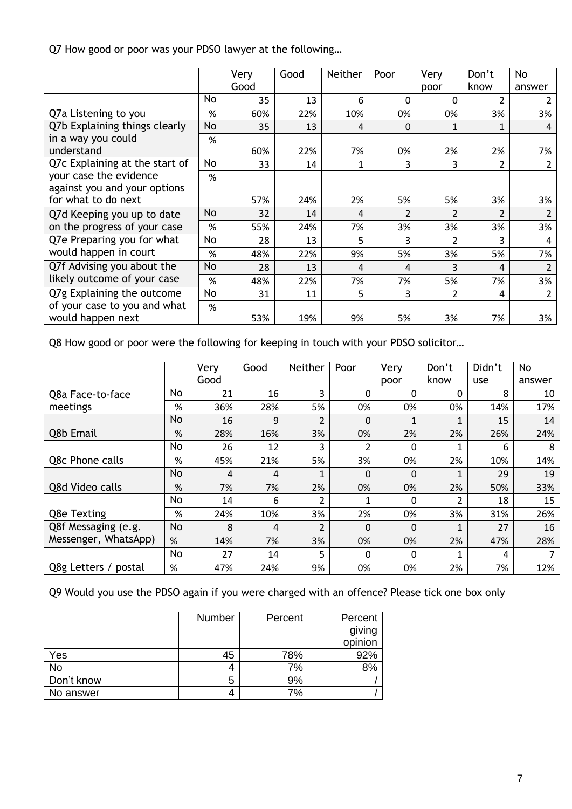Q7 How good or poor was your PDSO lawyer at the following…

|                                |    | Very | Good | <b>Neither</b> | Poor                     | Very           | Don't                    | <b>No</b>      |
|--------------------------------|----|------|------|----------------|--------------------------|----------------|--------------------------|----------------|
|                                |    | Good |      |                |                          | poor           | know                     | answer         |
|                                | No | 35   | 13   | 6              | 0                        | 0              | 2                        | 2              |
| Q7a Listening to you           | %  | 60%  | 22%  | 10%            | 0%                       | 0%             | 3%                       | 3%             |
| Q7b Explaining things clearly  | No | 35   | 13   | 4              | 0                        |                | 1                        | 4              |
| in a way you could             | %  |      |      |                |                          |                |                          |                |
| understand                     |    | 60%  | 22%  | 7%             | 0%                       | 2%             | 2%                       | 7%             |
| Q7c Explaining at the start of | No | 33   | 14   | 1              | 3                        | 3              | 2                        | $\overline{2}$ |
| your case the evidence         | %  |      |      |                |                          |                |                          |                |
| against you and your options   |    |      |      |                |                          |                |                          |                |
| for what to do next            |    | 57%  | 24%  | 2%             | 5%                       | 5%             | 3%                       | 3%             |
| Q7d Keeping you up to date     | No | 32   | 14   | 4              | $\overline{\mathcal{L}}$ | $\overline{2}$ | $\overline{\mathcal{L}}$ | 2              |
| on the progress of your case   | %  | 55%  | 24%  | 7%             | 3%                       | 3%             | 3%                       | 3%             |
| Q7e Preparing you for what     | No | 28   | 13   | 5              | 3                        | 2              | 3                        | 4              |
| would happen in court          | %  | 48%  | 22%  | 9%             | 5%                       | 3%             | 5%                       | 7%             |
| Q7f Advising you about the     | No | 28   | 13   | 4              | 4                        | 3              | 4                        | 2              |
| likely outcome of your case    | %  | 48%  | 22%  | 7%             | 7%                       | 5%             | 7%                       | 3%             |
| Q7g Explaining the outcome     | No | 31   | 11   | 5              | 3                        | 2              | 4                        | $\overline{2}$ |
| of your case to you and what   | %  |      |      |                |                          |                |                          |                |
| would happen next              |    | 53%  | 19%  | 9%             | 5%                       | 3%             | 7%                       | 3%             |

Q8 How good or poor were the following for keeping in touch with your PDSO solicitor…

|                      |    | Very | Good | Neither        | Poor     | Very     | Don't          | Didn't | No     |
|----------------------|----|------|------|----------------|----------|----------|----------------|--------|--------|
|                      |    | Good |      |                |          | poor     | know           | use    | answer |
| Q8a Face-to-face     | No | 21   | 16   | 3              | 0        | 0        | 0              | 8      | 10     |
| meetings             | %  | 36%  | 28%  | 5%             | 0%       | 0%       | 0%             | 14%    | 17%    |
|                      | No | 16   | 9    | $\overline{2}$ | $\Omega$ | 1        | 1              | 15     | 14     |
| Q8b Email            | %  | 28%  | 16%  | 3%             | 0%       | 2%       | 2%             | 26%    | 24%    |
|                      | No | 26   | 12   | 3              | 2        | 0        | 1              | 6      | 8      |
| Q8c Phone calls      | %  | 45%  | 21%  | 5%             | 3%       | 0%       | 2%             | 10%    | 14%    |
|                      | No | 4    | 4    | 1              | 0        | 0        | 1              | 29     | 19     |
| Q8d Video calls      | %  | 7%   | 7%   | 2%             | 0%       | 0%       | 2%             | 50%    | 33%    |
|                      | No | 14   | 6    | 2              |          | 0        | $\mathfrak{p}$ | 18     | 15     |
| Q8e Texting          | %  | 24%  | 10%  | 3%             | 2%       | 0%       | 3%             | 31%    | 26%    |
| Q8f Messaging (e.g.  | No | 8    | 4    | $\overline{2}$ | $\Omega$ | $\Omega$ | 1              | 27     | 16     |
| Messenger, WhatsApp) | %  | 14%  | 7%   | 3%             | 0%       | 0%       | 2%             | 47%    | 28%    |
|                      | No | 27   | 14   | 5              | 0        | 0        | 1              | 4      |        |
| Q8g Letters / postal | %  | 47%  | 24%  | 9%             | 0%       | 0%       | 2%             | 7%     | 12%    |

Q9 Would you use the PDSO again if you were charged with an offence? Please tick one box only

|            | Number | Percent | Percent<br>giving<br>opinion |
|------------|--------|---------|------------------------------|
| Yes        | 45     | 78%     | 92%                          |
| No         |        | 7%      | 8%                           |
| Don't know | 5      | 9%      |                              |
| No answer  |        | 7%      |                              |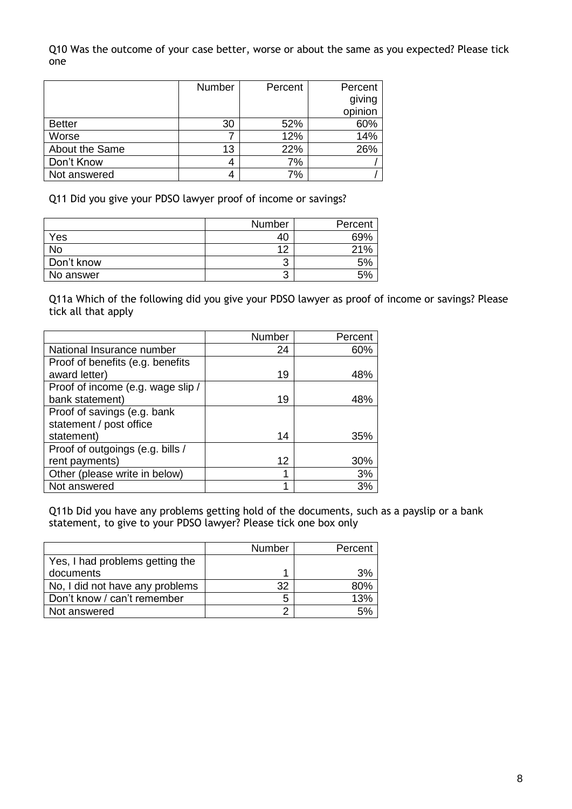Q10 Was the outcome of your case better, worse or about the same as you expected? Please tick one

|                | Number | Percent | Percent           |
|----------------|--------|---------|-------------------|
|                |        |         | giving<br>opinion |
| <b>Better</b>  | 30     | 52%     | 60%               |
| Worse          |        | 12%     | 14%               |
| About the Same | 13     | 22%     | 26%               |
| Don't Know     |        | 7%      |                   |
| Not answered   |        | 7%      |                   |

Q11 Did you give your PDSO lawyer proof of income or savings?

|            | Number | Percent |
|------------|--------|---------|
| Yes        | 40     | 69%     |
| No         | 12     | 21%     |
| Don't know | ാ<br>ັ | 5%      |
| No answer  | າ<br>J | 5%      |

Q11a Which of the following did you give your PDSO lawyer as proof of income or savings? Please tick all that apply

|                                   | Number | Percent |
|-----------------------------------|--------|---------|
| National Insurance number         | 24     | 60%     |
| Proof of benefits (e.g. benefits  |        |         |
| award letter)                     | 19     | 48%     |
| Proof of income (e.g. wage slip / |        |         |
| bank statement)                   | 19     | 48%     |
| Proof of savings (e.g. bank       |        |         |
| statement / post office           |        |         |
| statement)                        | 14     | 35%     |
| Proof of outgoings (e.g. bills /  |        |         |
| rent payments)                    | 12     | 30%     |
| Other (please write in below)     | 1      | 3%      |
| Not answered                      | 1      | 3%      |

Q11b Did you have any problems getting hold of the documents, such as a payslip or a bank statement, to give to your PDSO lawyer? Please tick one box only

|                                 | <b>Number</b> | Percent |
|---------------------------------|---------------|---------|
| Yes, I had problems getting the |               |         |
| documents                       |               | 3%      |
| No, I did not have any problems |               | 80%     |
| Don't know / can't remember     | 5             | 13%     |
| Not answered                    | ⌒             |         |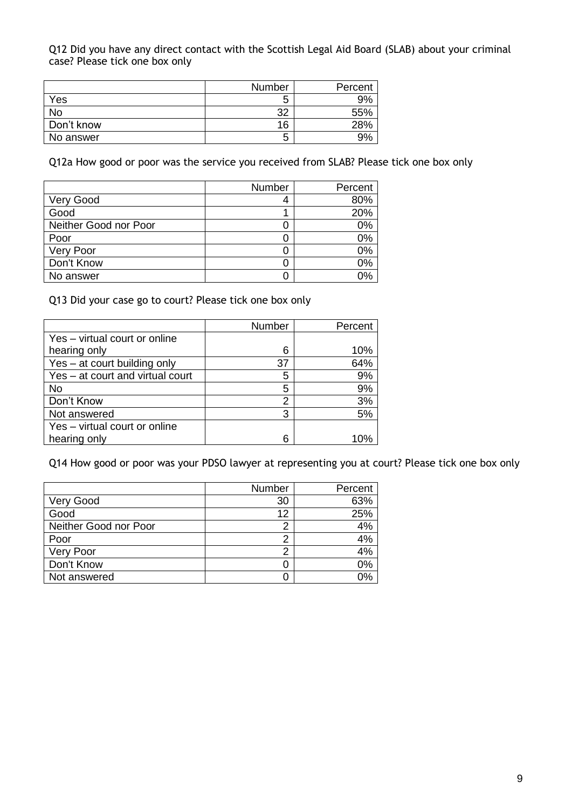Q12 Did you have any direct contact with the Scottish Legal Aid Board (SLAB) about your criminal case? Please tick one box only

|            | Number | Percent |
|------------|--------|---------|
| Yes        | ა      | 9%      |
| No         | າາ     | 55%     |
| Don't know | 16     | 28%     |
| No answer  | 5      | 9%      |

Q12a How good or poor was the service you received from SLAB? Please tick one box only

|                       | Number | Percent |
|-----------------------|--------|---------|
| Very Good             |        | 80%     |
| Good                  |        | 20%     |
| Neither Good nor Poor |        | 0%      |
| Poor                  | U      | 0%      |
| Very Poor             |        | 0%      |
| Don't Know            | U      | 0%      |
| No answer             |        | 0%      |

Q13 Did your case go to court? Please tick one box only

|                                  | Number | Percent |
|----------------------------------|--------|---------|
| Yes - virtual court or online    |        |         |
| hearing only                     | 6      | 10%     |
| Yes – at court building only     | 37     | 64%     |
| Yes - at court and virtual court | 5      | 9%      |
| <b>No</b>                        | 5      | 9%      |
| Don't Know                       | 2      | 3%      |
| Not answered                     | 3      | 5%      |
| Yes - virtual court or online    |        |         |
| hearing only                     | 6      | 1በ%     |

Q14 How good or poor was your PDSO lawyer at representing you at court? Please tick one box only

|                       | Number | Percent |
|-----------------------|--------|---------|
| <b>Very Good</b>      | 30     | 63%     |
| Good                  | 12     | 25%     |
| Neither Good nor Poor | 2      | 4%      |
| Poor                  | ົ      | 4%      |
| Very Poor             | ◠      | 4%      |
| Don't Know            |        | 0%      |
| Not answered          |        | 0%      |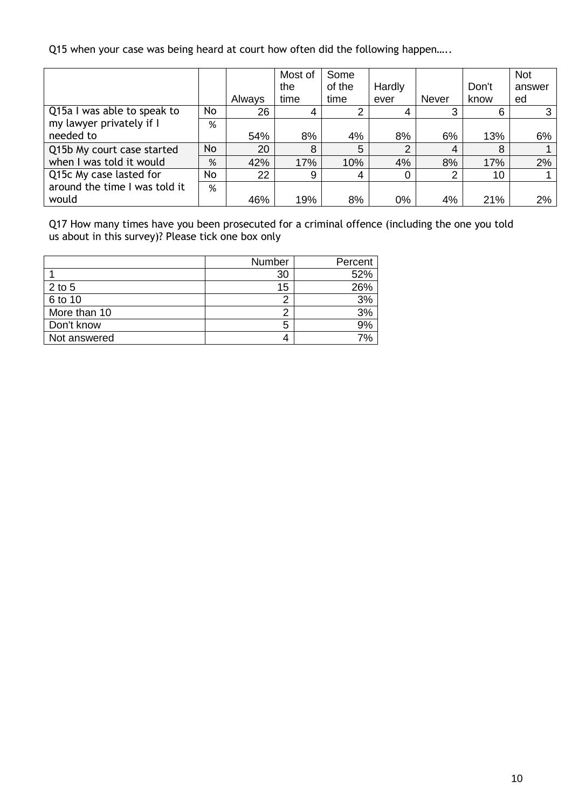Q15 when your case was being heard at court how often did the following happen.....

|                               |     |        | Most of | Some   |        |                |       | <b>Not</b> |
|-------------------------------|-----|--------|---------|--------|--------|----------------|-------|------------|
|                               |     |        | the     | of the | Hardly |                | Don't | answer     |
|                               |     | Always | time    | time   | ever   | <b>Never</b>   | know  | ed         |
| Q15a I was able to speak to   | No. | 26     |         | 2      | 4      | 3              | 6     |            |
| my lawyer privately if I      | %   |        |         |        |        |                |       |            |
| needed to                     |     | 54%    | 8%      | 4%     | 8%     | 6%             | 13%   | 6%         |
| Q15b My court case started    | No  | 20     | 8       | 5      | っ      | $\overline{4}$ | 8     |            |
| when I was told it would      | %   | 42%    | 17%     | 10%    | 4%     | 8%             | 17%   | 2%         |
| Q15c My case lasted for       | No  | 22     | 9       | 4      | 0      | 2              | 10    |            |
| around the time I was told it | %   |        |         |        |        |                |       |            |
| would                         |     | 46%    | 19%     | 8%     | 0%     | 4%             | 21%   | 2%         |

Q17 How many times have you been prosecuted for a criminal offence (including the one you told us about in this survey)? Please tick one box only

|              | Number | Percent |
|--------------|--------|---------|
|              | 30     | 52%     |
| $2$ to 5     | 15     | 26%     |
| 6 to 10      |        | 3%      |
| More than 10 |        | 3%      |
| Don't know   | 5      | 9%      |
| Not answered |        | 7%      |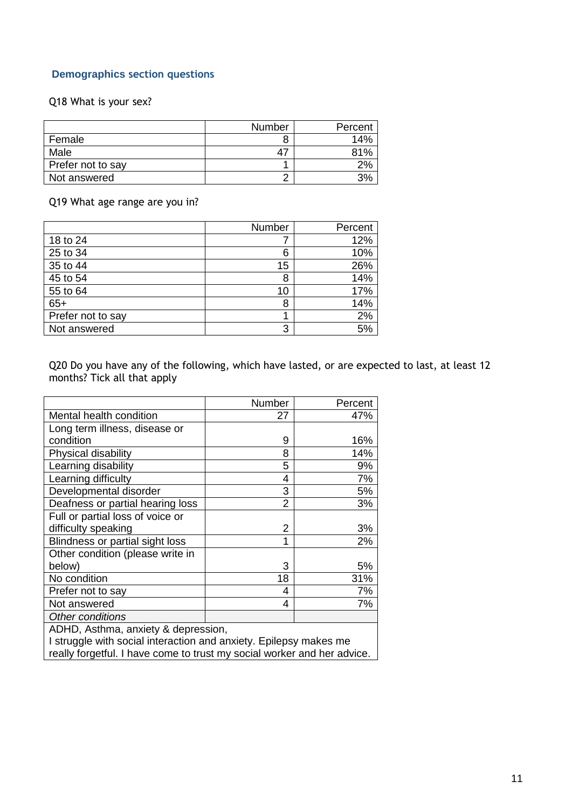### **Demographics section questions**

#### Q18 What is your sex?

|                   | Number | Percent |
|-------------------|--------|---------|
| Female            | 8      | 14%     |
| Male              |        | 81%     |
| Prefer not to say |        | 2%      |
| Not answered      | ⌒      |         |

Q19 What age range are you in?

|                   | Number | Percent |
|-------------------|--------|---------|
| 18 to 24          |        | 12%     |
| 25 to 34          | 6      | 10%     |
| 35 to 44          | 15     | 26%     |
| 45 to 54          | 8      | 14%     |
| 55 to 64          | 10     | 17%     |
| $65+$             | 8      | 14%     |
| Prefer not to say |        | 2%      |
| Not answered      | 3      | 5%      |

Q20 Do you have any of the following, which have lasted, or are expected to last, at least 12 months? Tick all that apply

|                                                                         | Number         | Percent |  |
|-------------------------------------------------------------------------|----------------|---------|--|
| Mental health condition                                                 | 27             | 47%     |  |
| Long term illness, disease or                                           |                |         |  |
| condition                                                               | 9              | 16%     |  |
| Physical disability                                                     | 8              | 14%     |  |
| Learning disability                                                     | 5              | 9%      |  |
| Learning difficulty                                                     | 4              | 7%      |  |
| Developmental disorder                                                  | 3              | 5%      |  |
| Deafness or partial hearing loss                                        | $\overline{2}$ | 3%      |  |
| Full or partial loss of voice or                                        |                |         |  |
| difficulty speaking                                                     | 2              | 3%      |  |
| Blindness or partial sight loss                                         | 1              | 2%      |  |
| Other condition (please write in                                        |                |         |  |
| below)                                                                  | 3              | 5%      |  |
| No condition                                                            | 18             | 31%     |  |
| Prefer not to say                                                       | 4              | 7%      |  |
| Not answered                                                            | 4              | 7%      |  |
| Other conditions                                                        |                |         |  |
| ADHD, Asthma, anxiety & depression,                                     |                |         |  |
| I struggle with social interaction and anxiety. Epilepsy makes me       |                |         |  |
| really forgetful. I have come to trust my social worker and her advice. |                |         |  |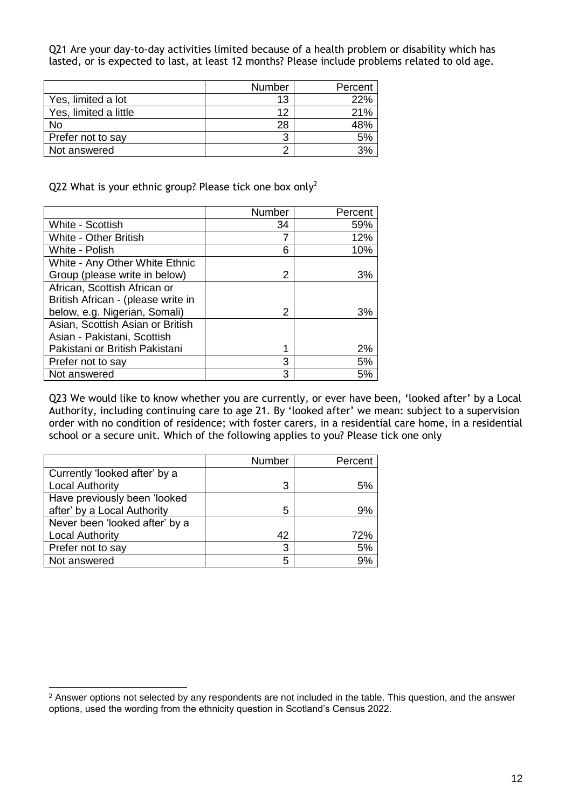Q21 Are your day-to-day activities limited because of a health problem or disability which has lasted, or is expected to last, at least 12 months? Please include problems related to old age.

|                       | Number | Percent |
|-----------------------|--------|---------|
| Yes, limited a lot    | 13     | 22%     |
| Yes, limited a little | 12     | 21%     |
| No                    | 28     |         |
| Prefer not to say     | 3      |         |
| Not answered          | ⌒      |         |

Q22 What is your ethnic group? Please tick one box only<sup>2</sup>

|                                    | Number | Percent |
|------------------------------------|--------|---------|
| White - Scottish                   | 34     | 59%     |
| <b>White - Other British</b>       | 7      | 12%     |
| White - Polish                     | 6      | 10%     |
| White - Any Other White Ethnic     |        |         |
| Group (please write in below)      | 2      | 3%      |
| African, Scottish African or       |        |         |
| British African - (please write in |        |         |
| below, e.g. Nigerian, Somali)      | 2      | 3%      |
| Asian, Scottish Asian or British   |        |         |
| Asian - Pakistani, Scottish        |        |         |
| Pakistani or British Pakistani     | 1      | 2%      |
| Prefer not to say                  | 3      | 5%      |
| Not answered                       | 3      | 5%      |

Q23 We would like to know whether you are currently, or ever have been, 'looked after' by a Local Authority, including continuing care to age 21. By 'looked after' we mean: subject to a supervision order with no condition of residence; with foster carers, in a residential care home, in a residential school or a secure unit. Which of the following applies to you? Please tick one only

|                                | Number | Percent |
|--------------------------------|--------|---------|
| Currently 'looked after' by a  |        |         |
| <b>Local Authority</b>         | 3      | 5%      |
| Have previously been 'looked   |        |         |
| after' by a Local Authority    | 5      | 9%      |
| Never been 'looked after' by a |        |         |
| <b>Local Authority</b>         | 42     | 72%     |
| Prefer not to say              | 3      | 5%      |
| Not answered                   | 5      | 9%      |

-

<sup>&</sup>lt;sup>2</sup> Answer options not selected by any respondents are not included in the table. This question, and the answer options, used the wording from the ethnicity question in Scotland's Census 2022.